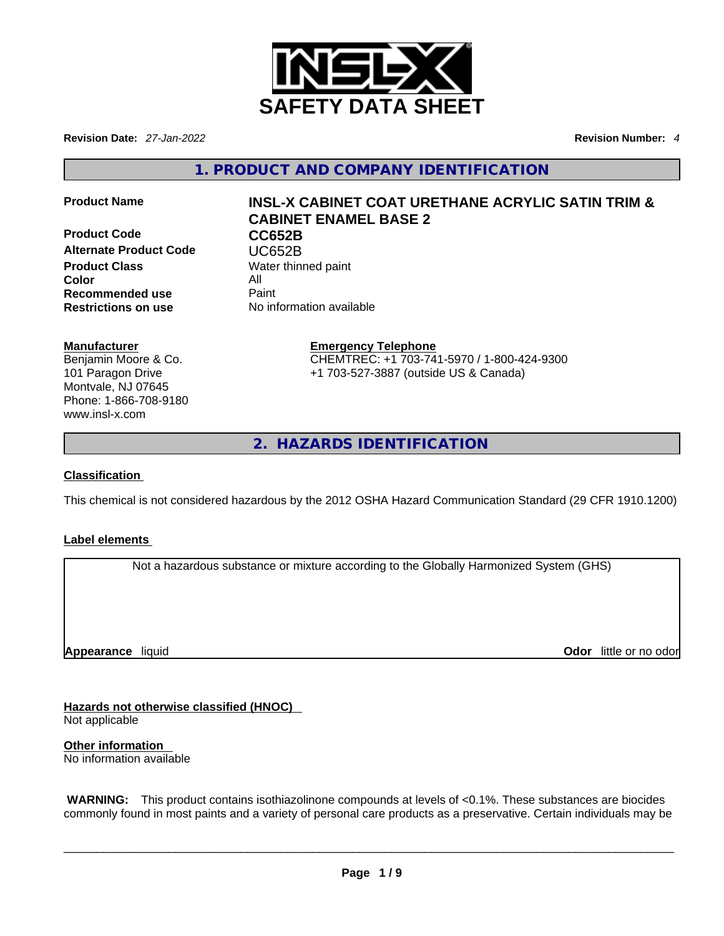

**Revision Date:** *27-Jan-2022* **Revision Number:** *4*

**1. PRODUCT AND COMPANY IDENTIFICATION** 

**Product Code CC652B Alternate Product Code CODE VERGES**<br> **Product Class** Water thing **Color** All **Recommended use** Paint<br> **Restrictions on use** No inf

# **Product Name INSL-X CABINET COAT URETHANE ACRYLIC SATIN TRIM & CABINET ENAMEL BASE 2**

**Water thinned paint Restrictions on use** No information available

### **Manufacturer**

Benjamin Moore & Co. 101 Paragon Drive Montvale, NJ 07645 Phone: 1-866-708-9180 www.insl-x.com

# **Emergency Telephone** CHEMTREC: +1 703-741-5970 / 1-800-424-9300

+1 703-527-3887 (outside US & Canada)

**2. HAZARDS IDENTIFICATION** 

## **Classification**

This chemical is not considered hazardous by the 2012 OSHA Hazard Communication Standard (29 CFR 1910.1200)

### **Label elements**

Not a hazardous substance or mixture according to the Globally Harmonized System (GHS)

**Appearance** liquid

**Odor** little or no odor

**Hazards not otherwise classified (HNOC)**  Not applicable

**Other information**  No information available

 **WARNING:** This product contains isothiazolinone compounds at levels of <0.1%. These substances are biocides commonly found in most paints and a variety of personal care products as a preservative. Certain individuals may be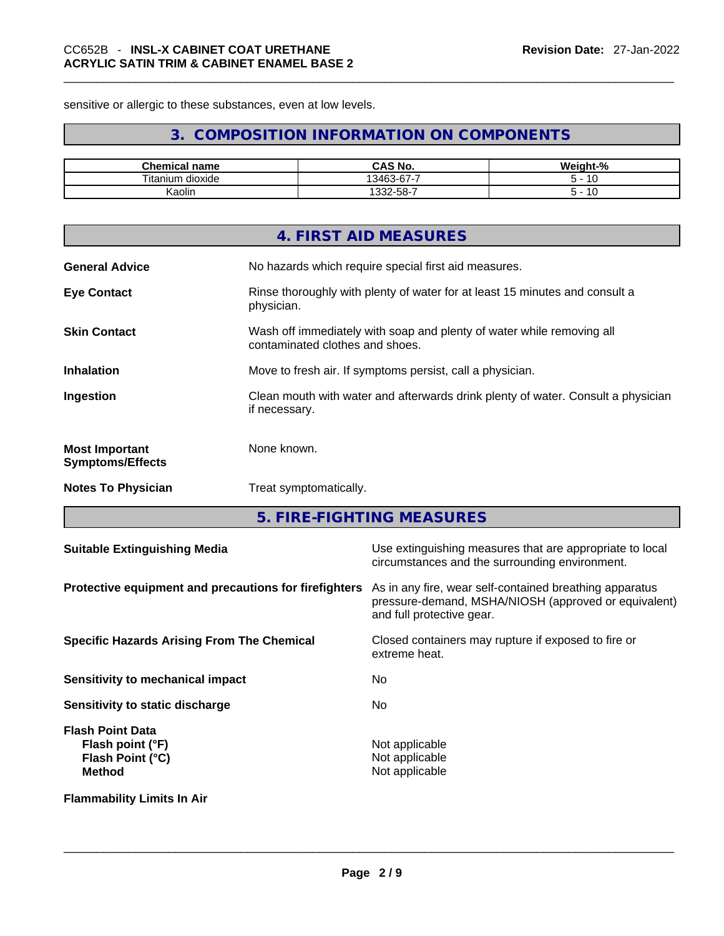sensitive or allergic to these substances, even at low levels.

# **3. COMPOSITION INFORMATION ON COMPONENTS**

| Chemical<br>name           | <b>CAS No.</b>                                  | Weight-%   |
|----------------------------|-------------------------------------------------|------------|
| <b>Titanium</b><br>dioxide | $\sim$ $\sim$ $\sim$<br>I3463<br><u> კკ-ხ/-</u> | $\epsilon$ |
| Kaolin                     | .33∠-58-7                                       |            |

|                                                  | 4. FIRST AID MEASURES                                                                                    |
|--------------------------------------------------|----------------------------------------------------------------------------------------------------------|
| <b>General Advice</b>                            | No hazards which require special first aid measures.                                                     |
| <b>Eye Contact</b>                               | Rinse thoroughly with plenty of water for at least 15 minutes and consult a<br>physician.                |
| <b>Skin Contact</b>                              | Wash off immediately with soap and plenty of water while removing all<br>contaminated clothes and shoes. |
| <b>Inhalation</b>                                | Move to fresh air. If symptoms persist, call a physician.                                                |
| Ingestion                                        | Clean mouth with water and afterwards drink plenty of water. Consult a physician<br>if necessary.        |
| <b>Most Important</b><br><b>Symptoms/Effects</b> | None known.                                                                                              |
| <b>Notes To Physician</b>                        | Treat symptomatically.                                                                                   |
|                                                  |                                                                                                          |

**5. FIRE-FIGHTING MEASURES** 

| <b>Suitable Extinguishing Media</b>                                              | Use extinguishing measures that are appropriate to local<br>circumstances and the surrounding environment.                                   |
|----------------------------------------------------------------------------------|----------------------------------------------------------------------------------------------------------------------------------------------|
| Protective equipment and precautions for firefighters                            | As in any fire, wear self-contained breathing apparatus<br>pressure-demand, MSHA/NIOSH (approved or equivalent)<br>and full protective gear. |
| <b>Specific Hazards Arising From The Chemical</b>                                | Closed containers may rupture if exposed to fire or<br>extreme heat.                                                                         |
| <b>Sensitivity to mechanical impact</b>                                          | No                                                                                                                                           |
| Sensitivity to static discharge                                                  | No                                                                                                                                           |
| <b>Flash Point Data</b><br>Flash point (°F)<br>Flash Point (°C)<br><b>Method</b> | Not applicable<br>Not applicable<br>Not applicable                                                                                           |
| <b>Flammability Limits In Air</b>                                                |                                                                                                                                              |
|                                                                                  |                                                                                                                                              |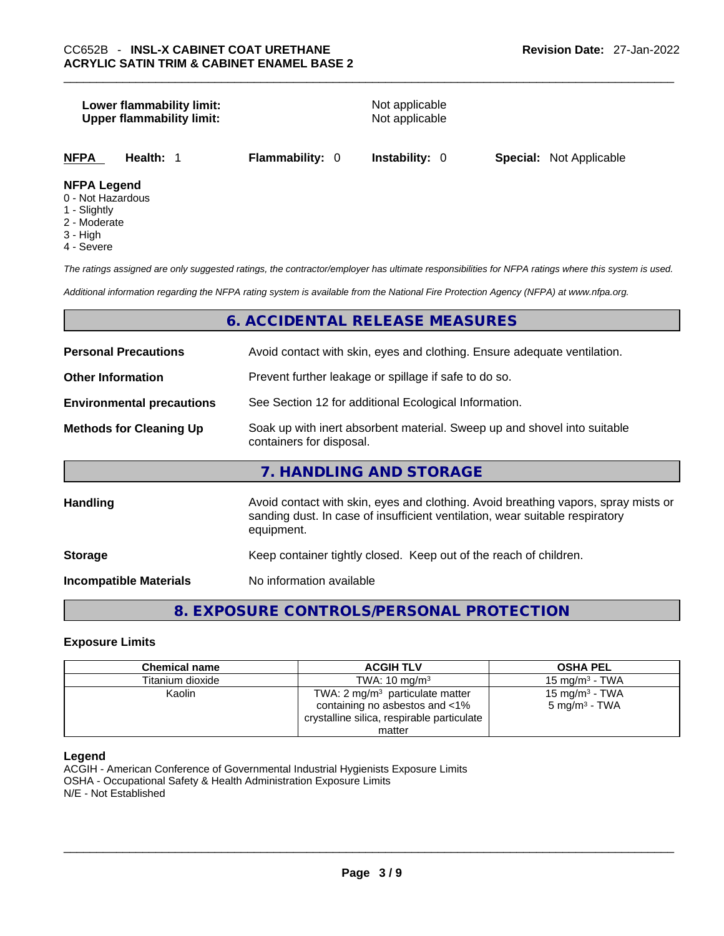# **Lower flammability limit:** Not applicable **Upper flammability limit:** Not applicable **NFPA Health:** 1 **Flammability:** 0 **Instability:** 0 **Special:** Not Applicable **NFPA Legend** 0 - Not Hazardous

- 1 Slightly
- 2 Moderate
- 3 High
- 4 Severe

*The ratings assigned are only suggested ratings, the contractor/employer has ultimate responsibilities for NFPA ratings where this system is used.* 

*Additional information regarding the NFPA rating system is available from the National Fire Protection Agency (NFPA) at www.nfpa.org.* 

# **6. ACCIDENTAL RELEASE MEASURES**

| <b>Personal Precautions</b>                                                               | Avoid contact with skin, eyes and clothing. Ensure adequate ventilation.                                                                                                         |  |
|-------------------------------------------------------------------------------------------|----------------------------------------------------------------------------------------------------------------------------------------------------------------------------------|--|
| <b>Other Information</b>                                                                  | Prevent further leakage or spillage if safe to do so.                                                                                                                            |  |
| See Section 12 for additional Ecological Information.<br><b>Environmental precautions</b> |                                                                                                                                                                                  |  |
| <b>Methods for Cleaning Up</b>                                                            | Soak up with inert absorbent material. Sweep up and shovel into suitable<br>containers for disposal.                                                                             |  |
|                                                                                           | 7. HANDLING AND STORAGE                                                                                                                                                          |  |
| <b>Handling</b>                                                                           | Avoid contact with skin, eyes and clothing. Avoid breathing vapors, spray mists or<br>sanding dust. In case of insufficient ventilation, wear suitable respiratory<br>equipment. |  |
| <b>Storage</b>                                                                            | Keep container tightly closed. Keep out of the reach of children.                                                                                                                |  |
| <b>Incompatible Materials</b>                                                             | No information available                                                                                                                                                         |  |

# **8. EXPOSURE CONTROLS/PERSONAL PROTECTION**

#### **Exposure Limits**

| <b>Chemical name</b> | <b>ACGIH TLV</b>                                                             | <b>OSHA PEL</b>                                        |
|----------------------|------------------------------------------------------------------------------|--------------------------------------------------------|
| Titanium dioxide     | TWA: $10 \text{ ma/m}^3$                                                     | 15 mg/m $3$ - TWA                                      |
| Kaolin               | TWA: $2 \text{ mg/m}^3$ particulate matter<br>containing no asbestos and <1% | 15 mg/m <sup>3</sup> - TWA<br>$5 \text{ mg/m}^3$ - TWA |
|                      | crystalline silica, respirable particulate                                   |                                                        |
|                      | matter                                                                       |                                                        |

#### **Legend**

ACGIH - American Conference of Governmental Industrial Hygienists Exposure Limits OSHA - Occupational Safety & Health Administration Exposure Limits N/E - Not Established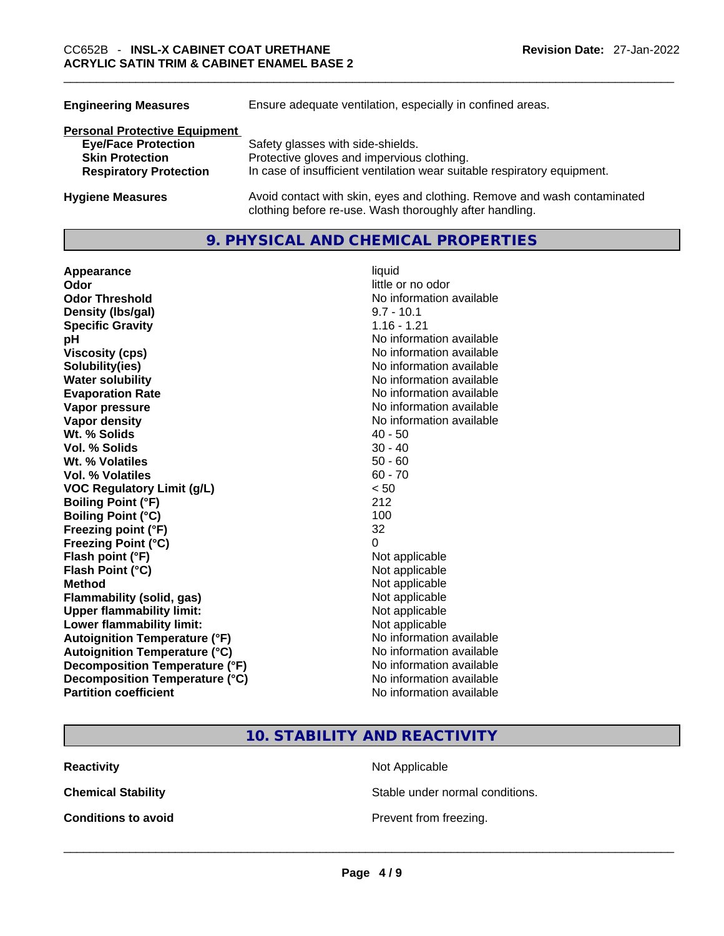| Ensure adequate ventilation, especially in confined areas.                                                                          |  |
|-------------------------------------------------------------------------------------------------------------------------------------|--|
|                                                                                                                                     |  |
| Safety glasses with side-shields.                                                                                                   |  |
| Protective gloves and impervious clothing.                                                                                          |  |
| In case of insufficient ventilation wear suitable respiratory equipment.                                                            |  |
| Avoid contact with skin, eyes and clothing. Remove and wash contaminated<br>clothing before re-use. Wash thoroughly after handling. |  |
|                                                                                                                                     |  |

# **9. PHYSICAL AND CHEMICAL PROPERTIES**

**Appearance** liquid **Odor Odor Odor Odor Odor** *little or no odor little or no odor* **Odor Threshold**<br> **Density (Ibs/gal)**<br> **Density (Ibs/gal)**<br> **No information available**<br>  $9.7 - 10.1$ **Density** (Ibs/gal) **Specific Gravity 1.16 - 1.21 pH bH 1 Viscosity (cps) Viscosity (cps) No information available Solubility(ies)** No information available **Water solubility No information available No information available Evaporation Rate No information available No information available Vapor pressure No information available No information available Vapor density No information available No information available Wt. % Solids** 40 - 50 **Vol. % Solids Wt. % Volatiles** 50 - 60 **Vol. % Volatiles VOC Regulatory Limit (g/L)** < 50 **Boiling Point (°F)** 212 **Boiling Point (°C)** 100 **Freezing point (°F)** 32 **Freezing Point (°C)** 0 **Flash point (°F)** Not applicable **Flash Point (°C)** Not applicable **Method** Not applicable **Flammability (solid, gas)**<br> **Upper flammability limit:**<br>
Upper flammability limit:<br>  $\begin{array}{ccc}\n\bullet & \bullet & \bullet \\
\bullet & \bullet & \bullet\n\end{array}$ **Upper flammability limit:**<br> **Lower flammability limit:** Not applicable Not applicable **Lower flammability limit:**<br> **Autoignition Temperature (°F)** Not applicable havailable **Autoignition Temperature (°F) Autoignition Temperature (°C)** No information available **Decomposition Temperature (°F)** No information available **Decomposition Temperature (°C)** No information available **Partition coefficient** No information available

# **10. STABILITY AND REACTIVITY**

**Conditions to avoid**<br> **Conditions to** avoid<br> **Example 2 Example 2 Conditions to avoid Prevent from freezing.** 

**Reactivity Not Applicable Not Applicable** 

**Chemical Stability Chemical Stability** Stable under normal conditions.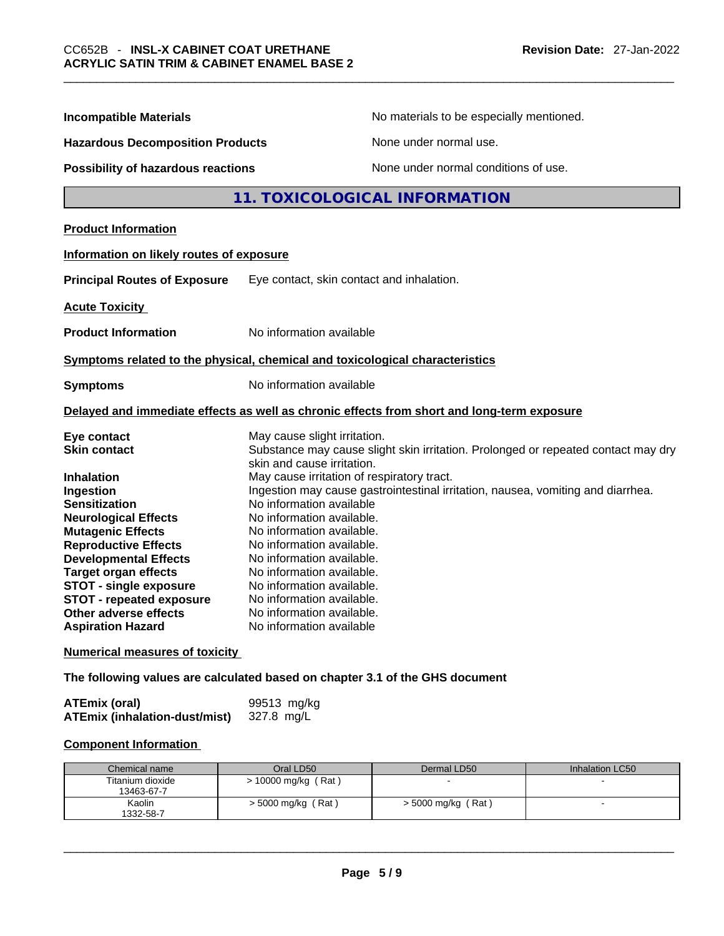| <b>Incompatible Materials</b>                                                                                                                                                                                                                                                                                                            | No materials to be especially mentioned.                                                                                                                                                                                                                                                                                                                                                                                      |  |  |
|------------------------------------------------------------------------------------------------------------------------------------------------------------------------------------------------------------------------------------------------------------------------------------------------------------------------------------------|-------------------------------------------------------------------------------------------------------------------------------------------------------------------------------------------------------------------------------------------------------------------------------------------------------------------------------------------------------------------------------------------------------------------------------|--|--|
| <b>Hazardous Decomposition Products</b>                                                                                                                                                                                                                                                                                                  | None under normal use.                                                                                                                                                                                                                                                                                                                                                                                                        |  |  |
| <b>Possibility of hazardous reactions</b>                                                                                                                                                                                                                                                                                                | None under normal conditions of use.                                                                                                                                                                                                                                                                                                                                                                                          |  |  |
|                                                                                                                                                                                                                                                                                                                                          | 11. TOXICOLOGICAL INFORMATION                                                                                                                                                                                                                                                                                                                                                                                                 |  |  |
| <b>Product Information</b>                                                                                                                                                                                                                                                                                                               |                                                                                                                                                                                                                                                                                                                                                                                                                               |  |  |
| Information on likely routes of exposure                                                                                                                                                                                                                                                                                                 |                                                                                                                                                                                                                                                                                                                                                                                                                               |  |  |
| <b>Principal Routes of Exposure</b>                                                                                                                                                                                                                                                                                                      | Eye contact, skin contact and inhalation.                                                                                                                                                                                                                                                                                                                                                                                     |  |  |
| <b>Acute Toxicity</b>                                                                                                                                                                                                                                                                                                                    |                                                                                                                                                                                                                                                                                                                                                                                                                               |  |  |
| <b>Product Information</b>                                                                                                                                                                                                                                                                                                               | No information available                                                                                                                                                                                                                                                                                                                                                                                                      |  |  |
|                                                                                                                                                                                                                                                                                                                                          | Symptoms related to the physical, chemical and toxicological characteristics                                                                                                                                                                                                                                                                                                                                                  |  |  |
| <b>Symptoms</b>                                                                                                                                                                                                                                                                                                                          | No information available                                                                                                                                                                                                                                                                                                                                                                                                      |  |  |
|                                                                                                                                                                                                                                                                                                                                          | Delayed and immediate effects as well as chronic effects from short and long-term exposure                                                                                                                                                                                                                                                                                                                                    |  |  |
| Eye contact<br><b>Skin contact</b>                                                                                                                                                                                                                                                                                                       | May cause slight irritation.<br>Substance may cause slight skin irritation. Prolonged or repeated contact may dry<br>skin and cause irritation.                                                                                                                                                                                                                                                                               |  |  |
| <b>Inhalation</b><br>Ingestion<br><b>Sensitization</b><br><b>Neurological Effects</b><br><b>Mutagenic Effects</b><br><b>Reproductive Effects</b><br><b>Developmental Effects</b><br><b>Target organ effects</b><br><b>STOT - single exposure</b><br><b>STOT - repeated exposure</b><br>Other adverse effects<br><b>Aspiration Hazard</b> | May cause irritation of respiratory tract.<br>Ingestion may cause gastrointestinal irritation, nausea, vomiting and diarrhea.<br>No information available<br>No information available.<br>No information available.<br>No information available.<br>No information available.<br>No information available.<br>No information available.<br>No information available.<br>No information available.<br>No information available |  |  |
| <b>Numerical measures of toxicity</b>                                                                                                                                                                                                                                                                                                    |                                                                                                                                                                                                                                                                                                                                                                                                                               |  |  |

**The following values are calculated based on chapter 3.1 of the GHS document**

| ATEmix (oral)                        | 99513 mg/kg |
|--------------------------------------|-------------|
| <b>ATEmix (inhalation-dust/mist)</b> | 327.8 mg/L  |

# **Component Information**

| Chemical name                  | Oral LD50             | Dermal LD50          | Inhalation LC50 |
|--------------------------------|-----------------------|----------------------|-----------------|
| Titanium dioxide<br>13463-67-7 | $> 10000$ mg/kg (Rat) |                      |                 |
| Kaolin<br>1332-58-7            | $>$ 5000 mg/kg (Rat)  | $>$ 5000 mg/kg (Rat) |                 |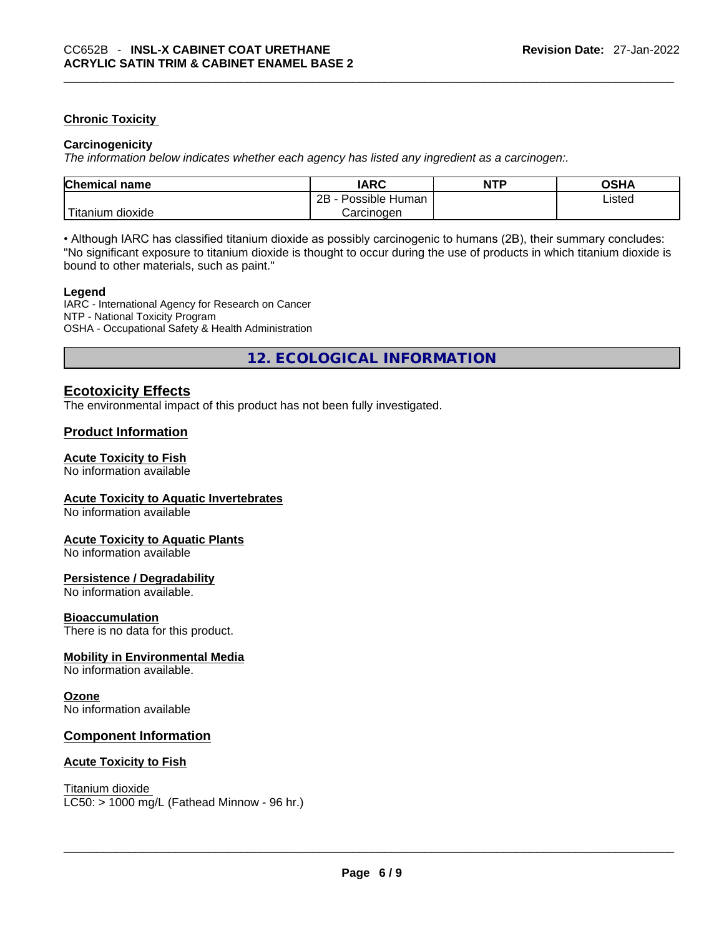#### **Chronic Toxicity**

#### **Carcinogenicity**

*The information below indicates whether each agency has listed any ingredient as a carcinogen:.* 

| <b>Chemical name</b>  | IARC                 | <b>NTP</b> | OSHA   |  |
|-----------------------|----------------------|------------|--------|--|
|                       | 2B<br>Possible Human |            | ∟isted |  |
| Titanium J<br>dioxide | Carcinoɑen           |            |        |  |

• Although IARC has classified titanium dioxide as possibly carcinogenic to humans (2B), their summary concludes: "No significant exposure to titanium dioxide is thought to occur during the use of products in which titanium dioxide is bound to other materials, such as paint."

#### **Legend**

IARC - International Agency for Research on Cancer NTP - National Toxicity Program OSHA - Occupational Safety & Health Administration

**12. ECOLOGICAL INFORMATION** 

## **Ecotoxicity Effects**

The environmental impact of this product has not been fully investigated.

#### **Product Information**

#### **Acute Toxicity to Fish**

No information available

#### **Acute Toxicity to Aquatic Invertebrates**

No information available

#### **Acute Toxicity to Aquatic Plants**

No information available

#### **Persistence / Degradability**

No information available.

#### **Bioaccumulation**

There is no data for this product.

#### **Mobility in Environmental Media**

No information available.

#### **Ozone**

No information available

#### **Component Information**

#### **Acute Toxicity to Fish**

Titanium dioxide

 $LC50:$  > 1000 mg/L (Fathead Minnow - 96 hr.)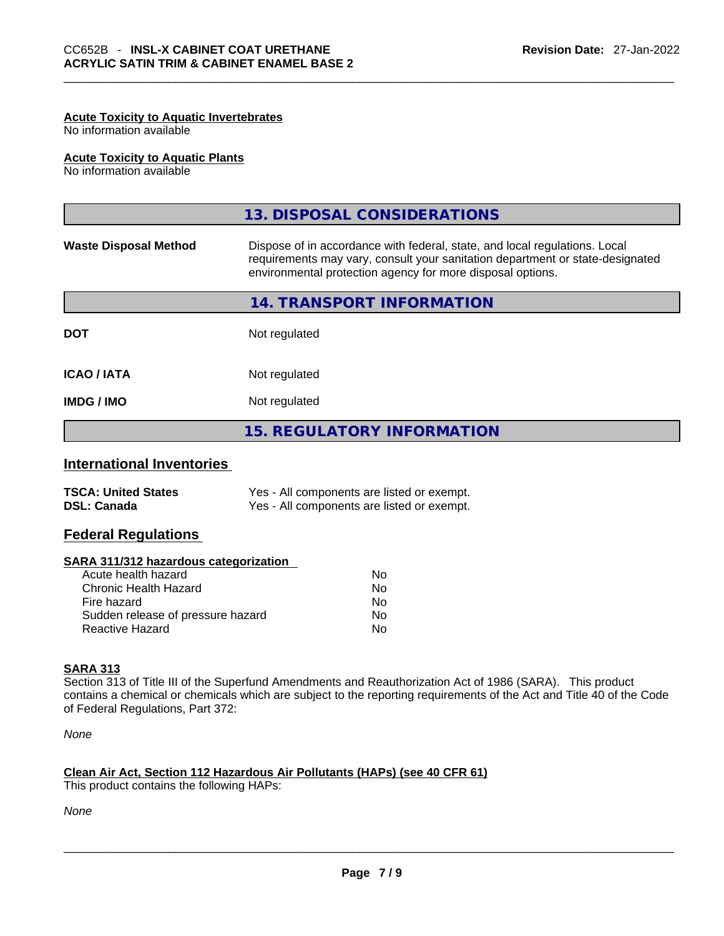#### **Acute Toxicity to Aquatic Invertebrates**

No information available

#### **Acute Toxicity to Aquatic Plants**

No information available

|                              | 13. DISPOSAL CONSIDERATIONS                                                                                                                                                                                               |
|------------------------------|---------------------------------------------------------------------------------------------------------------------------------------------------------------------------------------------------------------------------|
| <b>Waste Disposal Method</b> | Dispose of in accordance with federal, state, and local regulations. Local<br>requirements may vary, consult your sanitation department or state-designated<br>environmental protection agency for more disposal options. |
|                              | 14. TRANSPORT INFORMATION                                                                                                                                                                                                 |
| <b>DOT</b>                   | Not regulated                                                                                                                                                                                                             |
| <b>ICAO / IATA</b>           | Not regulated                                                                                                                                                                                                             |
| <b>IMDG/IMO</b>              | Not regulated                                                                                                                                                                                                             |
|                              | <b>15. REGULATORY INFORMATION</b>                                                                                                                                                                                         |
|                              |                                                                                                                                                                                                                           |

# **International Inventories**

| <b>TSCA: United States</b> | Yes - All components are listed or exempt. |
|----------------------------|--------------------------------------------|
| <b>DSL: Canada</b>         | Yes - All components are listed or exempt. |

### **Federal Regulations**

#### **SARA 311/312 hazardous categorization**

| Acute health hazard               | Nο |
|-----------------------------------|----|
| Chronic Health Hazard             | Nο |
| Fire hazard                       | Nο |
| Sudden release of pressure hazard | Nο |
| Reactive Hazard                   | N٥ |

#### **SARA 313**

Section 313 of Title III of the Superfund Amendments and Reauthorization Act of 1986 (SARA). This product contains a chemical or chemicals which are subject to the reporting requirements of the Act and Title 40 of the Code of Federal Regulations, Part 372:

*None*

#### **Clean Air Act,Section 112 Hazardous Air Pollutants (HAPs) (see 40 CFR 61)**

This product contains the following HAPs: \_\_\_\_\_\_\_\_\_\_\_\_\_\_\_\_\_\_\_\_\_\_\_\_\_\_\_\_\_\_\_\_\_\_\_\_\_\_\_\_\_\_\_\_\_\_\_\_\_\_\_\_\_\_\_\_\_\_\_\_\_\_\_\_\_\_\_\_\_\_\_\_\_\_\_\_\_\_\_\_\_\_\_\_\_\_\_\_\_\_\_\_\_

*None*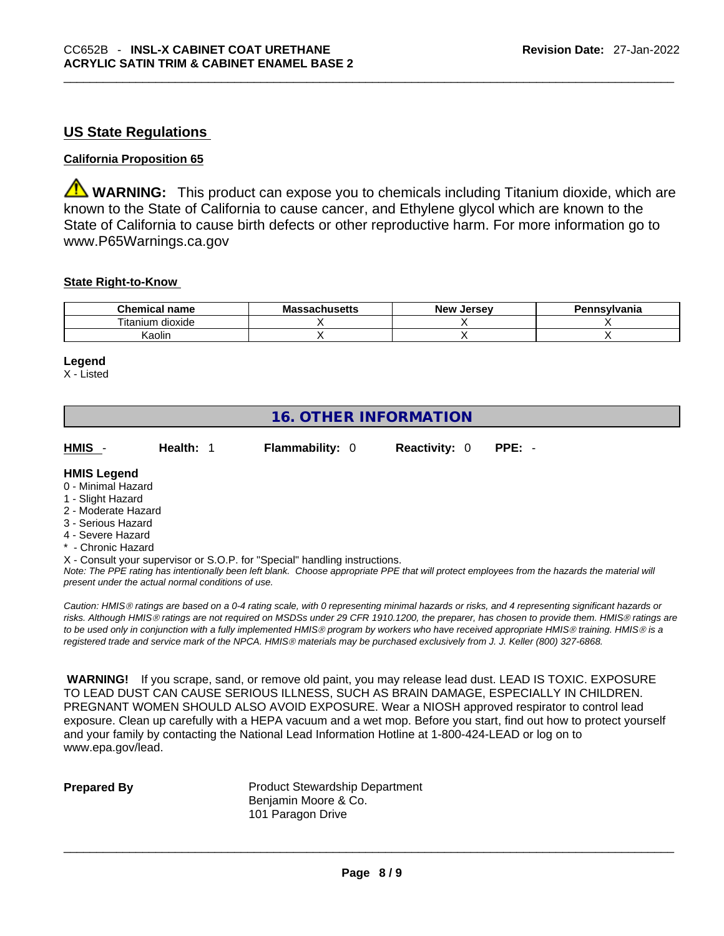# **US State Regulations**

### **California Proposition 65**

**WARNING:** This product can expose you to chemicals including Titanium dioxide, which are known to the State of California to cause cancer, and Ethylene glycol which are known to the State of California to cause birth defects or other reproductive harm. For more information go to www.P65Warnings.ca.gov

#### **State Right-to-Know**

| <b>Chemical</b><br>name              | <b>Massachusetts</b> | <b>New</b><br>. Jersev | Pennsylvania |
|--------------------------------------|----------------------|------------------------|--------------|
| .<br><b></b><br>l itanium<br>dioxide |                      |                        |              |
| aolin)                               |                      |                        |              |

#### **Legend**

X - Listed

# **16. OTHER INFORMATION**

**HMIS** - **Health:** 1 **Flammability:** 0 **Reactivity:** 0 **PPE:** -

**HMIS Legend**

- 0 Minimal Hazard
- 1 Slight Hazard
- 2 Moderate Hazard
- 3 Serious Hazard
- 4 Severe Hazard
- **Chronic Hazard**

X - Consult your supervisor or S.O.P. for "Special" handling instructions.

Note: The PPE rating has intentionally been left blank. Choose appropriate PPE that will protect employees from the hazards the material will *present under the actual normal conditions of use.* 

*Caution: HMISÒ ratings are based on a 0-4 rating scale, with 0 representing minimal hazards or risks, and 4 representing significant hazards or risks. Although HMISÒ ratings are not required on MSDSs under 29 CFR 1910.1200, the preparer, has chosen to provide them. HMISÒ ratings are to be used only in conjunction with a fully implemented HMISÒ program by workers who have received appropriate HMISÒ training. HMISÒ is a registered trade and service mark of the NPCA. HMISÒ materials may be purchased exclusively from J. J. Keller (800) 327-6868.* 

 **WARNING!** If you scrape, sand, or remove old paint, you may release lead dust. LEAD IS TOXIC. EXPOSURE TO LEAD DUST CAN CAUSE SERIOUS ILLNESS, SUCH AS BRAIN DAMAGE, ESPECIALLY IN CHILDREN. PREGNANT WOMEN SHOULD ALSO AVOID EXPOSURE.Wear a NIOSH approved respirator to control lead exposure. Clean up carefully with a HEPA vacuum and a wet mop. Before you start, find out how to protect yourself and your family by contacting the National Lead Information Hotline at 1-800-424-LEAD or log on to www.epa.gov/lead.

**Prepared By Product Stewardship Department** Benjamin Moore & Co. 101 Paragon Drive